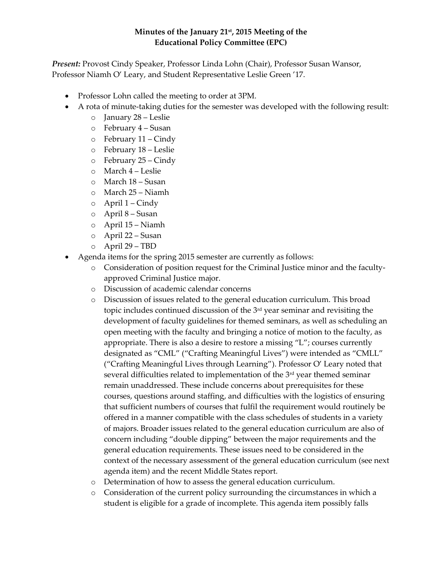## **Minutes of the January 21st, 2015 Meeting of the Educational Policy Committee (EPC)**

*Present:* Provost Cindy Speaker, Professor Linda Lohn (Chair), Professor Susan Wansor, Professor Niamh O' Leary, and Student Representative Leslie Green '17.

- Professor Lohn called the meeting to order at 3PM.
- A rota of minute-taking duties for the semester was developed with the following result:
	- o January 28 Leslie
	- o February 4 Susan
	- o February 11 Cindy
	- o February 18 Leslie
	- o February 25 Cindy
	- o March 4 Leslie
	- o March 18 Susan
	- o March 25 Niamh
	- $\circ$  April 1 Cindy
	- o April 8 Susan
	- o April 15 Niamh
	- o April 22 Susan
	- o April 29 TBD
- Agenda items for the spring 2015 semester are currently as follows:
	- o Consideration of position request for the Criminal Justice minor and the facultyapproved Criminal Justice major.
	- o Discussion of academic calendar concerns
	- o Discussion of issues related to the general education curriculum. This broad topic includes continued discussion of the 3rd year seminar and revisiting the development of faculty guidelines for themed seminars, as well as scheduling an open meeting with the faculty and bringing a notice of motion to the faculty, as appropriate. There is also a desire to restore a missing "L"; courses currently designated as "CML" ("Crafting Meaningful Lives") were intended as "CMLL" ("Crafting Meaningful Lives through Learning"). Professor O' Leary noted that several difficulties related to implementation of the 3<sup>rd</sup> year themed seminar remain unaddressed. These include concerns about prerequisites for these courses, questions around staffing, and difficulties with the logistics of ensuring that sufficient numbers of courses that fulfil the requirement would routinely be offered in a manner compatible with the class schedules of students in a variety of majors. Broader issues related to the general education curriculum are also of concern including "double dipping" between the major requirements and the general education requirements. These issues need to be considered in the context of the necessary assessment of the general education curriculum (see next agenda item) and the recent Middle States report.
	- o Determination of how to assess the general education curriculum.
	- o Consideration of the current policy surrounding the circumstances in which a student is eligible for a grade of incomplete. This agenda item possibly falls